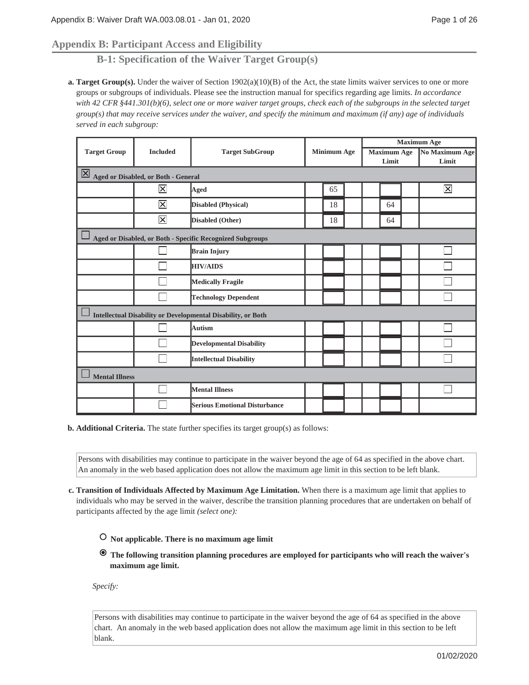# **Appendix B: Participant Access and Eligibility**

**B-1: Specification of the Waiver Target Group(s)**

**Target Group(s).** Under the waiver of Section 1902(a)(10)(B) of the Act, the state limits waiver services to one or more **a.** groups or subgroups of individuals. Please see the instruction manual for specifics regarding age limits. *In accordance with 42 CFR §441.301(b)(6), select one or more waiver target groups, check each of the subgroups in the selected target group(s) that may receive services under the waiver, and specify the minimum and maximum (if any) age of individuals served in each subgroup:*

|                                                              |                                                      |                                                           |  |                    | <b>Maximum Age</b> |                    |                         |
|--------------------------------------------------------------|------------------------------------------------------|-----------------------------------------------------------|--|--------------------|--------------------|--------------------|-------------------------|
| <b>Target Group</b>                                          | <b>Included</b>                                      | <b>Target SubGroup</b>                                    |  | <b>Minimum Age</b> |                    | <b>Maximum Age</b> | <b>No Maximum Age</b>   |
|                                                              |                                                      |                                                           |  |                    |                    | Limit              | Limit                   |
|                                                              | $\boxed{\times}$ Aged or Disabled, or Both - General |                                                           |  |                    |                    |                    |                         |
|                                                              | $\overline{\mathsf{x}}$                              | Aged                                                      |  | 65                 |                    |                    | $\overline{\mathsf{x}}$ |
|                                                              | $\overline{\mathsf{x}}$                              | <b>Disabled (Physical)</b>                                |  | 18                 |                    | 64                 |                         |
|                                                              | $\overline{\mathsf{x}}$                              | Disabled (Other)                                          |  | 18                 |                    | 64                 |                         |
|                                                              |                                                      | Aged or Disabled, or Both - Specific Recognized Subgroups |  |                    |                    |                    |                         |
|                                                              |                                                      | <b>Brain Injury</b>                                       |  |                    |                    |                    |                         |
|                                                              |                                                      | <b>HIV/AIDS</b>                                           |  |                    |                    |                    |                         |
|                                                              |                                                      | <b>Medically Fragile</b>                                  |  |                    |                    |                    |                         |
|                                                              |                                                      | <b>Technology Dependent</b>                               |  |                    |                    |                    |                         |
| Intellectual Disability or Developmental Disability, or Both |                                                      |                                                           |  |                    |                    |                    |                         |
|                                                              |                                                      | Autism                                                    |  |                    |                    |                    |                         |
|                                                              |                                                      | <b>Developmental Disability</b>                           |  |                    |                    |                    |                         |
|                                                              |                                                      | <b>Intellectual Disability</b>                            |  |                    |                    |                    |                         |
| <b>Mental Illness</b>                                        |                                                      |                                                           |  |                    |                    |                    |                         |
|                                                              |                                                      | <b>Mental Illness</b>                                     |  |                    |                    |                    |                         |
|                                                              |                                                      | <b>Serious Emotional Disturbance</b>                      |  |                    |                    |                    |                         |

**b.** Additional Criteria. The state further specifies its target group(s) as follows:

Persons with disabilities may continue to participate in the waiver beyond the age of 64 as specified in the above chart. An anomaly in the web based application does not allow the maximum age limit in this section to be left blank.

- **Transition of Individuals Affected by Maximum Age Limitation.** When there is a maximum age limit that applies to **c.** individuals who may be served in the waiver, describe the transition planning procedures that are undertaken on behalf of participants affected by the age limit *(select one):*
	- **Not applicable. There is no maximum age limit**
	- **The following transition planning procedures are employed for participants who will reach the waiver's maximum age limit.**

*Specify:*

Persons with disabilities may continue to participate in the waiver beyond the age of 64 as specified in the above chart. An anomaly in the web based application does not allow the maximum age limit in this section to be left blank.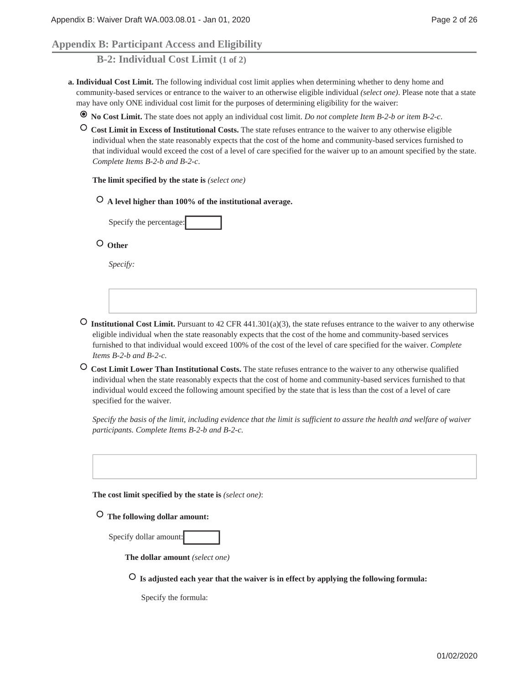# **Appendix B: Participant Access and Eligibility**

**B-2: Individual Cost Limit (1 of 2)**

- **Individual Cost Limit.** The following individual cost limit applies when determining whether to deny home and **a.** community-based services or entrance to the waiver to an otherwise eligible individual *(select one)*. Please note that a state may have only ONE individual cost limit for the purposes of determining eligibility for the waiver:
	- **No Cost Limit.** The state does not apply an individual cost limit. *Do not complete Item B-2-b or item B-2-c*.
	- **Cost Limit in Excess of Institutional Costs.** The state refuses entrance to the waiver to any otherwise eligible individual when the state reasonably expects that the cost of the home and community-based services furnished to that individual would exceed the cost of a level of care specified for the waiver up to an amount specified by the state. *Complete Items B-2-b and B-2-c*.

**The limit specified by the state is** *(select one)*

 **A level higher than 100% of the institutional average.**

Specify the percentage:

 **Other**

*Specify:*

- **Institutional Cost Limit.** Pursuant to 42 CFR 441.301(a)(3), the state refuses entrance to the waiver to any otherwise eligible individual when the state reasonably expects that the cost of the home and community-based services furnished to that individual would exceed 100% of the cost of the level of care specified for the waiver. *Complete Items B-2-b and B-2-c.*
- **Cost Limit Lower Than Institutional Costs.** The state refuses entrance to the waiver to any otherwise qualified individual when the state reasonably expects that the cost of home and community-based services furnished to that individual would exceed the following amount specified by the state that is less than the cost of a level of care specified for the waiver.

*Specify the basis of the limit, including evidence that the limit is sufficient to assure the health and welfare of waiver participants. Complete Items B-2-b and B-2-c.*

**The cost limit specified by the state is** *(select one)*:

 **The following dollar amount:**

|  | Specify dollar amount: |  |
|--|------------------------|--|
|--|------------------------|--|

**The dollar amount** *(select one)*

 **Is adjusted each year that the waiver is in effect by applying the following formula:**

Specify the formula: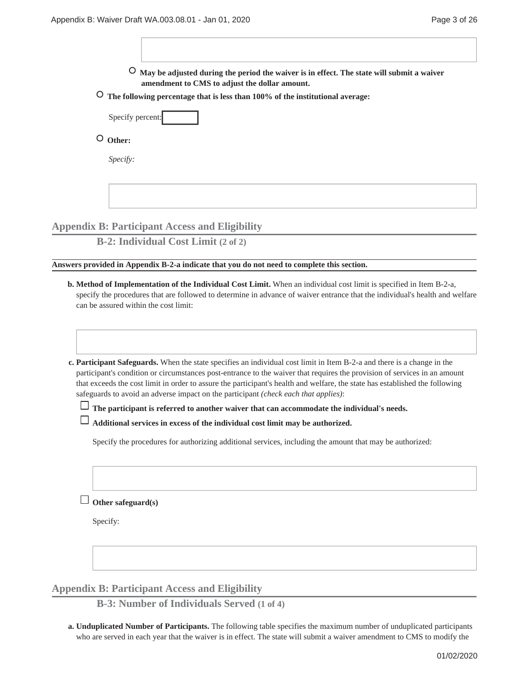$\overline{1}$ 

| May be adjusted during the period the waiver is in effect. The state will submit a waiver<br>amendment to CMS to adjust the dollar amount.                                                                                                                                                                                                                                                                                                                                                                                                                                                                         |  |  |  |  |  |  |
|--------------------------------------------------------------------------------------------------------------------------------------------------------------------------------------------------------------------------------------------------------------------------------------------------------------------------------------------------------------------------------------------------------------------------------------------------------------------------------------------------------------------------------------------------------------------------------------------------------------------|--|--|--|--|--|--|
| $\circ$<br>The following percentage that is less than 100% of the institutional average:                                                                                                                                                                                                                                                                                                                                                                                                                                                                                                                           |  |  |  |  |  |  |
| Specify percent:                                                                                                                                                                                                                                                                                                                                                                                                                                                                                                                                                                                                   |  |  |  |  |  |  |
| $\circ$ Other:                                                                                                                                                                                                                                                                                                                                                                                                                                                                                                                                                                                                     |  |  |  |  |  |  |
|                                                                                                                                                                                                                                                                                                                                                                                                                                                                                                                                                                                                                    |  |  |  |  |  |  |
| Specify:                                                                                                                                                                                                                                                                                                                                                                                                                                                                                                                                                                                                           |  |  |  |  |  |  |
|                                                                                                                                                                                                                                                                                                                                                                                                                                                                                                                                                                                                                    |  |  |  |  |  |  |
|                                                                                                                                                                                                                                                                                                                                                                                                                                                                                                                                                                                                                    |  |  |  |  |  |  |
| <b>Appendix B: Participant Access and Eligibility</b>                                                                                                                                                                                                                                                                                                                                                                                                                                                                                                                                                              |  |  |  |  |  |  |
| <b>B-2: Individual Cost Limit (2 of 2)</b>                                                                                                                                                                                                                                                                                                                                                                                                                                                                                                                                                                         |  |  |  |  |  |  |
| Answers provided in Appendix B-2-a indicate that you do not need to complete this section.                                                                                                                                                                                                                                                                                                                                                                                                                                                                                                                         |  |  |  |  |  |  |
| can be assured within the cost limit:<br>c. Participant Safeguards. When the state specifies an individual cost limit in Item B-2-a and there is a change in the<br>participant's condition or circumstances post-entrance to the waiver that requires the provision of services in an amount<br>that exceeds the cost limit in order to assure the participant's health and welfare, the state has established the following<br>safeguards to avoid an adverse impact on the participant (check each that applies):<br>The participant is referred to another waiver that can accommodate the individual's needs. |  |  |  |  |  |  |
| Additional services in excess of the individual cost limit may be authorized.                                                                                                                                                                                                                                                                                                                                                                                                                                                                                                                                      |  |  |  |  |  |  |
| Specify the procedures for authorizing additional services, including the amount that may be authorized:                                                                                                                                                                                                                                                                                                                                                                                                                                                                                                           |  |  |  |  |  |  |
|                                                                                                                                                                                                                                                                                                                                                                                                                                                                                                                                                                                                                    |  |  |  |  |  |  |
| Other safeguard(s)                                                                                                                                                                                                                                                                                                                                                                                                                                                                                                                                                                                                 |  |  |  |  |  |  |
| Specify:                                                                                                                                                                                                                                                                                                                                                                                                                                                                                                                                                                                                           |  |  |  |  |  |  |
|                                                                                                                                                                                                                                                                                                                                                                                                                                                                                                                                                                                                                    |  |  |  |  |  |  |
| <b>Appendix B: Participant Access and Eligibility</b>                                                                                                                                                                                                                                                                                                                                                                                                                                                                                                                                                              |  |  |  |  |  |  |

**B-3: Number of Individuals Served (1 of 4)**

**Unduplicated Number of Participants.** The following table specifies the maximum number of unduplicated participants **a.** who are served in each year that the waiver is in effect. The state will submit a waiver amendment to CMS to modify the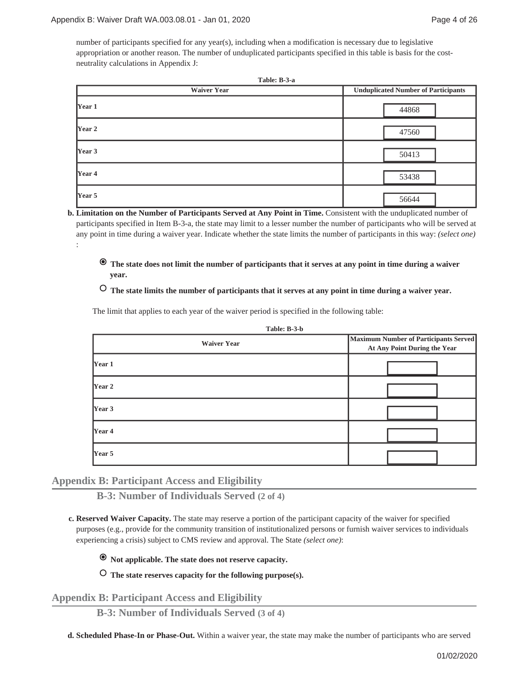:

number of participants specified for any year(s), including when a modification is necessary due to legislative appropriation or another reason. The number of unduplicated participants specified in this table is basis for the costneutrality calculations in Appendix J:

| Table: B-3-a<br><b>Waiver Year</b> |                                            |  |  |  |
|------------------------------------|--------------------------------------------|--|--|--|
|                                    | <b>Unduplicated Number of Participants</b> |  |  |  |
| Year 1                             | 44868                                      |  |  |  |
| Year 2                             | 47560                                      |  |  |  |
| Year 3                             | 50413                                      |  |  |  |
| Year 4                             | 53438                                      |  |  |  |
| Year 5                             | 56644                                      |  |  |  |

**Limitation on the Number of Participants Served at Any Point in Time.** Consistent with the unduplicated number of **b.** participants specified in Item B-3-a, the state may limit to a lesser number the number of participants who will be served at any point in time during a waiver year. Indicate whether the state limits the number of participants in this way: *(select one)*

 **The state does not limit the number of participants that it serves at any point in time during a waiver year.**

 **The state limits the number of participants that it serves at any point in time during a waiver year.**

The limit that applies to each year of the waiver period is specified in the following table:

**Table: B-3-b**

| <b>Waiver Year</b> | <b>Maximum Number of Participants Served</b><br>At Any Point During the Year |
|--------------------|------------------------------------------------------------------------------|
| $\gamma$ Year 1    |                                                                              |
| $\gamma$ Year 2    |                                                                              |
| $\gamma$ Year 3    |                                                                              |
| $\gamma$ Year 4    |                                                                              |
| Year 5             |                                                                              |

# **Appendix B: Participant Access and Eligibility**

**B-3: Number of Individuals Served (2 of 4)**

**Reserved Waiver Capacity.** The state may reserve a portion of the participant capacity of the waiver for specified **c.** purposes (e.g., provide for the community transition of institutionalized persons or furnish waiver services to individuals experiencing a crisis) subject to CMS review and approval. The State *(select one)*:

 **Not applicable. The state does not reserve capacity.**

 **The state reserves capacity for the following purpose(s).**

**Appendix B: Participant Access and Eligibility**

**B-3: Number of Individuals Served (3 of 4)**

**d. Scheduled Phase-In or Phase-Out.** Within a waiver year, the state may make the number of participants who are served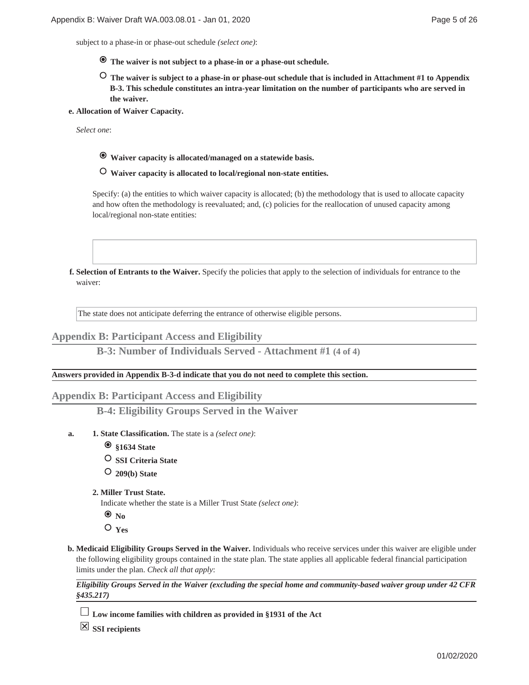subject to a phase-in or phase-out schedule *(select one)*:

- **The waiver is not subject to a phase-in or a phase-out schedule.**
- **The waiver is subject to a phase-in or phase-out schedule that is included in Attachment #1 to Appendix B-3. This schedule constitutes an intra-year limitation on the number of participants who are served in the waiver.**
- **Allocation of Waiver Capacity. e.**

*Select one*:

- **Waiver capacity is allocated/managed on a statewide basis.**
- **Waiver capacity is allocated to local/regional non-state entities.**

Specify: (a) the entities to which waiver capacity is allocated; (b) the methodology that is used to allocate capacity and how often the methodology is reevaluated; and, (c) policies for the reallocation of unused capacity among local/regional non-state entities:

**Selection of Entrants to the Waiver.** Specify the policies that apply to the selection of individuals for entrance to the **f.** waiver:

The state does not anticipate deferring the entrance of otherwise eligible persons.

## **Appendix B: Participant Access and Eligibility**

**B-3: Number of Individuals Served - Attachment #1 (4 of 4)**

### **Answers provided in Appendix B-3-d indicate that you do not need to complete this section.**

# **Appendix B: Participant Access and Eligibility**

**B-4: Eligibility Groups Served in the Waiver**

- **State Classification.** The state is a *(select one)*: **1. a.**
	- **§1634 State**
	- **SSI Criteria State**
	- **209(b) State**
	- **Miller Trust State. 2.**

Indicate whether the state is a Miller Trust State *(select one)*:

- $\bullet$ <sub>No</sub>
- **Yes**
- **Medicaid Eligibility Groups Served in the Waiver.** Individuals who receive services under this waiver are eligible under **b.** the following eligibility groups contained in the state plan. The state applies all applicable federal financial participation limits under the plan. *Check all that apply*:

*Eligibility Groups Served in the Waiver (excluding the special home and community-based waiver group under 42 CFR §435.217)*

**Low income families with children as provided in §1931 of the Act**

**SSI recipients**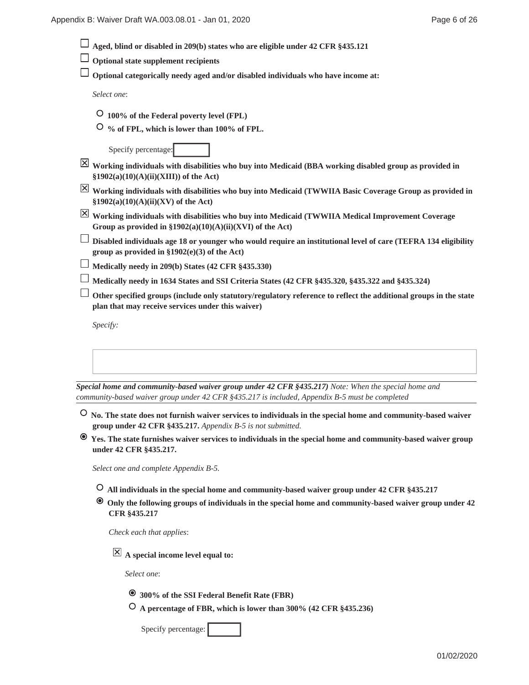| Appendix B: Waiver Draft WA.003.08.01 - Jan 01, 2020                                                                                                                                                     | Page 6 of 26 |
|----------------------------------------------------------------------------------------------------------------------------------------------------------------------------------------------------------|--------------|
| Aged, blind or disabled in 209(b) states who are eligible under 42 CFR §435.121                                                                                                                          |              |
| <b>Optional state supplement recipients</b>                                                                                                                                                              |              |
| Optional categorically needy aged and/or disabled individuals who have income at:                                                                                                                        |              |
| Select one:                                                                                                                                                                                              |              |
| $\circ$ 100% of the Federal poverty level (FPL)                                                                                                                                                          |              |
| $\circ$ % of FPL, which is lower than 100% of FPL.                                                                                                                                                       |              |
| Specify percentage:                                                                                                                                                                                      |              |
| $\boxed{\times}$ Working individuals with disabilities who buy into Medicaid (BBA working disabled group as provided in<br>$\S 1902(a)(10)(A)(ii)(XIII)$ of the Act)                                     |              |
| $\boxed{\times}$ Working individuals with disabilities who buy into Medicaid (TWWIIA Basic Coverage Group as provided in<br>$§1902(a)(10)(A)(ii)(XV)$ of the Act)                                        |              |
| $\boxed{\times}$ Working individuals with disabilities who buy into Medicaid (TWWIIA Medical Improvement Coverage<br>Group as provided in $\S1902(a)(10)(A)(ii)(XVI)$ of the Act)                        |              |
| Disabled individuals age 18 or younger who would require an institutional level of care (TEFRA 134 eligibility<br>group as provided in $$1902(e)(3)$ of the Act)                                         |              |
| Medically needy in 209(b) States (42 CFR §435.330)                                                                                                                                                       |              |
| Medically needy in 1634 States and SSI Criteria States (42 CFR §435.320, §435.322 and §435.324)                                                                                                          |              |
| Other specified groups (include only statutory/regulatory reference to reflect the additional groups in the state<br>plan that may receive services under this waiver)                                   |              |
| Specify:                                                                                                                                                                                                 |              |
|                                                                                                                                                                                                          |              |
|                                                                                                                                                                                                          |              |
| Special home and community-based waiver group under $42$ CFR §435.217) Note: When the special home and<br>community-based waiver group under 42 CFR §435.217 is included, Appendix B-5 must be completed |              |

 **Yes. The state furnishes waiver services to individuals in the special home and community-based waiver group under 42 CFR §435.217.**

*Select one and complete Appendix B-5.*

- **All individuals in the special home and community-based waiver group under 42 CFR §435.217**
- **Only the following groups of individuals in the special home and community-based waiver group under 42 CFR §435.217**

*Check each that applies*:

**A special income level equal to:**

*Select one*:

- **300% of the SSI Federal Benefit Rate (FBR)**
- **A percentage of FBR, which is lower than 300% (42 CFR §435.236)**

Specify percentage: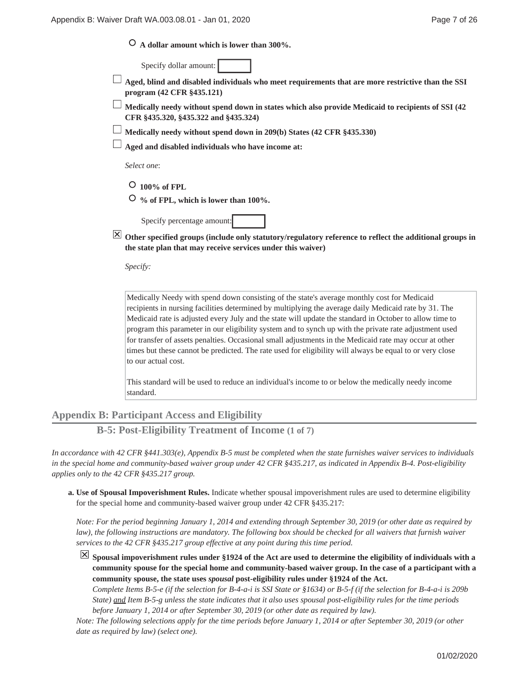|  |  |  | $\circ$ A dollar amount which is lower than 300%. |  |  |  |  |  |  |
|--|--|--|---------------------------------------------------|--|--|--|--|--|--|
|--|--|--|---------------------------------------------------|--|--|--|--|--|--|

Specify dollar amount:

**Aged, blind and disabled individuals who meet requirements that are more restrictive than the SSI program (42 CFR §435.121)**

**Medically needy without spend down in states which also provide Medicaid to recipients of SSI (42 CFR §435.320, §435.322 and §435.324)**

**Medically needy without spend down in 209(b) States (42 CFR §435.330)**

**Aged and disabled individuals who have income at:**

*Select one*:

 **100% of FPL**

 **% of FPL, which is lower than 100%.**

Specify percentage amount:

**Other specified groups (include only statutory/regulatory reference to reflect the additional groups in the state plan that may receive services under this waiver)**

*Specify:*

Medically Needy with spend down consisting of the state's average monthly cost for Medicaid recipients in nursing facilities determined by multiplying the average daily Medicaid rate by 31. The Medicaid rate is adjusted every July and the state will update the standard in October to allow time to program this parameter in our eligibility system and to synch up with the private rate adjustment used for transfer of assets penalties. Occasional small adjustments in the Medicaid rate may occur at other times but these cannot be predicted. The rate used for eligibility will always be equal to or very close to our actual cost.

This standard will be used to reduce an individual's income to or below the medically needy income standard.

**Appendix B: Participant Access and Eligibility**

**B-5: Post-Eligibility Treatment of Income (1 of 7)**

*In accordance with 42 CFR §441.303(e), Appendix B-5 must be completed when the state furnishes waiver services to individuals in the special home and community-based waiver group under 42 CFR §435.217, as indicated in Appendix B-4. Post-eligibility applies only to the 42 CFR §435.217 group.*

**Use of Spousal Impoverishment Rules.** Indicate whether spousal impoverishment rules are used to determine eligibility **a.** for the special home and community-based waiver group under 42 CFR §435.217:

*Note: For the period beginning January 1, 2014 and extending through September 30, 2019 (or other date as required by law), the following instructions are mandatory. The following box should be checked for all waivers that furnish waiver services to the 42 CFR §435.217 group effective at any point during this time period.*

**Spousal impoverishment rules under §1924 of the Act are used to determine the eligibility of individuals with a community spouse for the special home and community-based waiver group. In the case of a participant with a community spouse, the state uses** *spousal* **post-eligibility rules under §1924 of the Act.**

*Complete Items B-5-e (if the selection for B-4-a-i is SSI State or §1634) or B-5-f (if the selection for B-4-a-i is 209b State) and Item B-5-g unless the state indicates that it also uses spousal post-eligibility rules for the time periods before January 1, 2014 or after September 30, 2019 (or other date as required by law).*

*Note: The following selections apply for the time periods before January 1, 2014 or after September 30, 2019 (or other date as required by law) (select one).*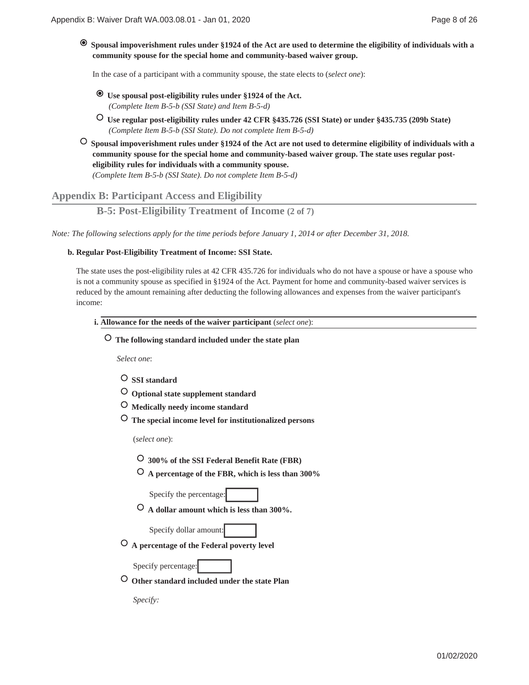$\bullet$  **Spousal impoverishment rules under §1924 of the Act are used to determine the eligibility of individuals with a community spouse for the special home and community-based waiver group.**

In the case of a participant with a community spouse, the state elects to (*select one*):

- **Use spousal post-eligibility rules under §1924 of the Act.** *(Complete Item B-5-b (SSI State) and Item B-5-d)*
- **Use regular post-eligibility rules under 42 CFR §435.726 (SSI State) or under §435.735 (209b State)** *(Complete Item B-5-b (SSI State). Do not complete Item B-5-d)*
- **Spousal impoverishment rules under §1924 of the Act are not used to determine eligibility of individuals with a community spouse for the special home and community-based waiver group. The state uses regular posteligibility rules for individuals with a community spouse.**

*(Complete Item B-5-b (SSI State). Do not complete Item B-5-d)*

**Appendix B: Participant Access and Eligibility**

**B-5: Post-Eligibility Treatment of Income (2 of 7)**

*Note: The following selections apply for the time periods before January 1, 2014 or after December 31, 2018.*

## **Regular Post-Eligibility Treatment of Income: SSI State. b.**

The state uses the post-eligibility rules at 42 CFR 435.726 for individuals who do not have a spouse or have a spouse who is not a community spouse as specified in §1924 of the Act. Payment for home and community-based waiver services is reduced by the amount remaining after deducting the following allowances and expenses from the waiver participant's income:

- **Allowance for the needs of the waiver participant** (*select one*): **i.**
	- **The following standard included under the state plan**

*Select one*:

- **SSI standard**
- **Optional state supplement standard**
- **Medically needy income standard**
- **The special income level for institutionalized persons**

(*select one*):

- **300% of the SSI Federal Benefit Rate (FBR)**
- **A percentage of the FBR, which is less than 300%**

Specify the percentage:

 **A dollar amount which is less than 300%.**

Specify dollar amount:

 **A percentage of the Federal poverty level**

Specify percentage:

 **Other standard included under the state Plan**

*Specify:*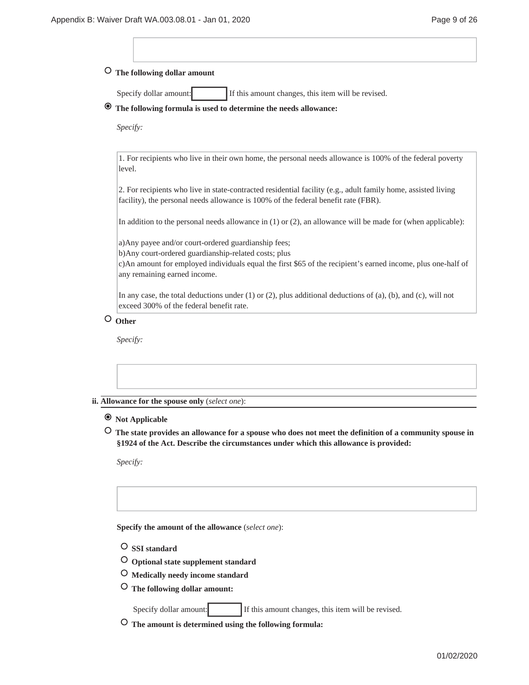# **The following dollar amount**

Specify dollar amount: If this amount changes, this item will be revised.

# **The following formula is used to determine the needs allowance:**

*Specify:*

1. For recipients who live in their own home, the personal needs allowance is 100% of the federal poverty level.

2. For recipients who live in state-contracted residential facility (e.g., adult family home, assisted living facility), the personal needs allowance is 100% of the federal benefit rate (FBR).

In addition to the personal needs allowance in (1) or (2), an allowance will be made for (when applicable):

a)Any payee and/or court-ordered guardianship fees;

b)Any court-ordered guardianship-related costs; plus

c)An amount for employed individuals equal the first \$65 of the recipient's earned income, plus one-half of any remaining earned income.

In any case, the total deductions under (1) or (2), plus additional deductions of (a), (b), and (c), will not exceed 300% of the federal benefit rate.

# **Other**

*Specify:*

#### **Allowance for the spouse only** (*select one*): **ii.**

# **Not Applicable**

 **The state provides an allowance for a spouse who does not meet the definition of a community spouse in §1924 of the Act. Describe the circumstances under which this allowance is provided:**

*Specify:*

**Specify the amount of the allowance** (*select one*):

- **SSI standard**
- **Optional state supplement standard**
- **Medically needy income standard**
- **The following dollar amount:**

Specify dollar amount: If this amount changes, this item will be revised.

 **The amount is determined using the following formula:**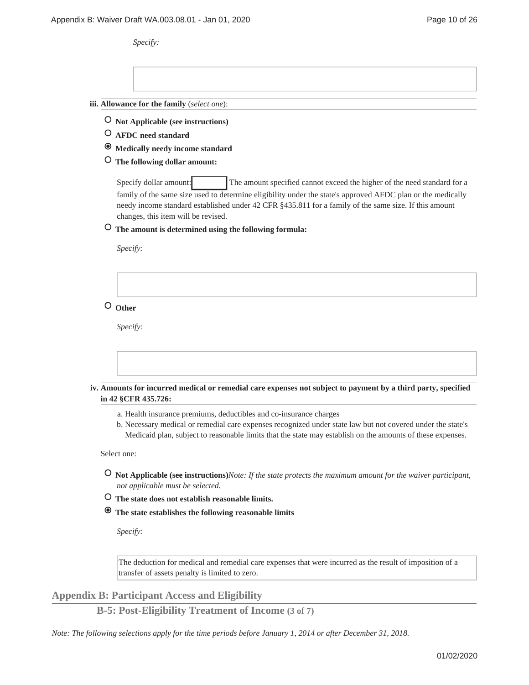*Specify:*

**Allowance for the family** (*select one*): **iii.**

- **Not Applicable (see instructions)**
- **AFDC need standard**
- **Medically needy income standard**
- **The following dollar amount:**

Specify dollar amount: The amount specified cannot exceed the higher of the need standard for a family of the same size used to determine eligibility under the state's approved AFDC plan or the medically needy income standard established under 42 CFR §435.811 for a family of the same size. If this amount changes, this item will be revised.

 **The amount is determined using the following formula:**

*Specify:*

 **Other**

*Specify:*

**Amounts for incurred medical or remedial care expenses not subject to payment by a third party, specified iv. in 42 §CFR 435.726:**

- a. Health insurance premiums, deductibles and co-insurance charges
- b. Necessary medical or remedial care expenses recognized under state law but not covered under the state's Medicaid plan, subject to reasonable limits that the state may establish on the amounts of these expenses.

Select one:

- **Not Applicable (see instructions)***Note: If the state protects the maximum amount for the waiver participant, not applicable must be selected.*
- **The state does not establish reasonable limits.**
- **The state establishes the following reasonable limits**

*Specify:*

The deduction for medical and remedial care expenses that were incurred as the result of imposition of a transfer of assets penalty is limited to zero.

**Appendix B: Participant Access and Eligibility**

**B-5: Post-Eligibility Treatment of Income (3 of 7)**

*Note: The following selections apply for the time periods before January 1, 2014 or after December 31, 2018.*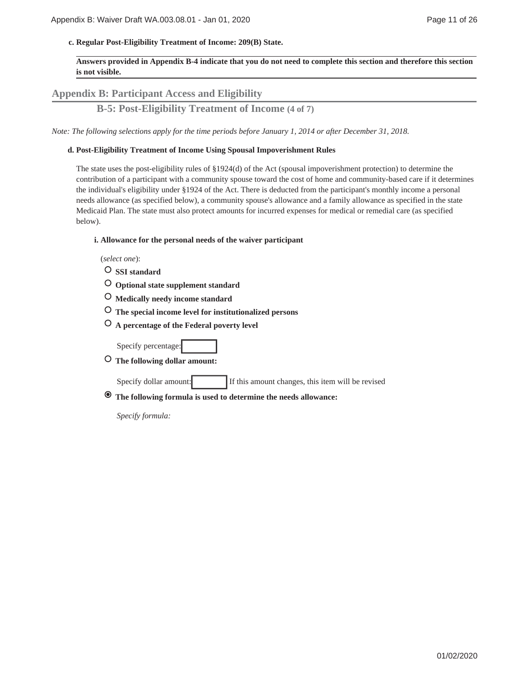**Regular Post-Eligibility Treatment of Income: 209(B) State. c.**

**Answers provided in Appendix B-4 indicate that you do not need to complete this section and therefore this section is not visible.**

# **Appendix B: Participant Access and Eligibility**

**B-5: Post-Eligibility Treatment of Income (4 of 7)**

*Note: The following selections apply for the time periods before January 1, 2014 or after December 31, 2018.*

### **Post-Eligibility Treatment of Income Using Spousal Impoverishment Rules d.**

The state uses the post-eligibility rules of §1924(d) of the Act (spousal impoverishment protection) to determine the contribution of a participant with a community spouse toward the cost of home and community-based care if it determines the individual's eligibility under §1924 of the Act. There is deducted from the participant's monthly income a personal needs allowance (as specified below), a community spouse's allowance and a family allowance as specified in the state Medicaid Plan. The state must also protect amounts for incurred expenses for medical or remedial care (as specified below).

#### **Allowance for the personal needs of the waiver participant i.**

(*select one*):

- **SSI standard**
- **Optional state supplement standard**
- **Medically needy income standard**
- **The special income level for institutionalized persons**
- **A percentage of the Federal poverty level**

Specify percentage:

 **The following dollar amount:**

Specify dollar amount: If this amount changes, this item will be revised

 **The following formula is used to determine the needs allowance:**

*Specify formula:*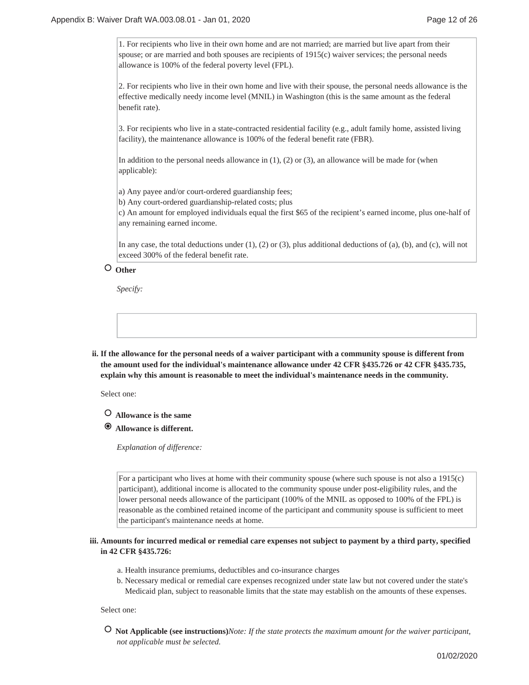1. For recipients who live in their own home and are not married; are married but live apart from their spouse; or are married and both spouses are recipients of 1915(c) waiver services; the personal needs allowance is 100% of the federal poverty level (FPL).

2. For recipients who live in their own home and live with their spouse, the personal needs allowance is the effective medically needy income level (MNIL) in Washington (this is the same amount as the federal benefit rate).

3. For recipients who live in a state-contracted residential facility (e.g., adult family home, assisted living facility), the maintenance allowance is 100% of the federal benefit rate (FBR).

In addition to the personal needs allowance in  $(1)$ ,  $(2)$  or  $(3)$ , an allowance will be made for (when applicable):

a) Any payee and/or court-ordered guardianship fees;

b) Any court-ordered guardianship-related costs; plus

c) An amount for employed individuals equal the first \$65 of the recipient's earned income, plus one-half of any remaining earned income.

In any case, the total deductions under (1), (2) or (3), plus additional deductions of (a), (b), and (c), will not exceed 300% of the federal benefit rate.

# **Other**

*Specify:*

**If the allowance for the personal needs of a waiver participant with a community spouse is different from ii. the amount used for the individual's maintenance allowance under 42 CFR §435.726 or 42 CFR §435.735, explain why this amount is reasonable to meet the individual's maintenance needs in the community.**

Select one:

- **Allowance is the same**
- **Allowance is different.**

*Explanation of difference:*

For a participant who lives at home with their community spouse (where such spouse is not also a 1915(c) participant), additional income is allocated to the community spouse under post-eligibility rules, and the lower personal needs allowance of the participant (100% of the MNIL as opposed to 100% of the FPL) is reasonable as the combined retained income of the participant and community spouse is sufficient to meet the participant's maintenance needs at home.

## **Amounts for incurred medical or remedial care expenses not subject to payment by a third party, specified iii. in 42 CFR §435.726:**

- a. Health insurance premiums, deductibles and co-insurance charges
- b. Necessary medical or remedial care expenses recognized under state law but not covered under the state's Medicaid plan, subject to reasonable limits that the state may establish on the amounts of these expenses.

Select one:

 **Not Applicable (see instructions)***Note: If the state protects the maximum amount for the waiver participant, not applicable must be selected.*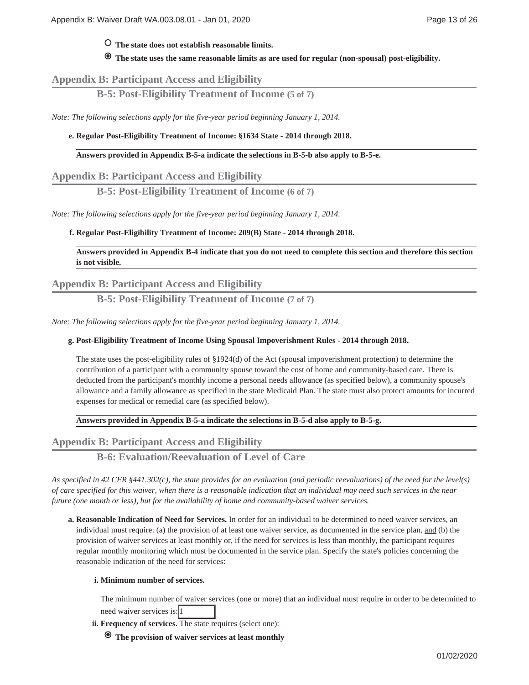# **The state does not establish reasonable limits.**

 **The state uses the same reasonable limits as are used for regular (non-spousal) post-eligibility.**

# **Appendix B: Participant Access and Eligibility**

**B-5: Post-Eligibility Treatment of Income (5 of 7)**

*Note: The following selections apply for the five-year period beginning January 1, 2014.*

### **Regular Post-Eligibility Treatment of Income: §1634 State - 2014 through 2018. e.**

### **Answers provided in Appendix B-5-a indicate the selections in B-5-b also apply to B-5-e.**

## **Appendix B: Participant Access and Eligibility**

**B-5: Post-Eligibility Treatment of Income (6 of 7)**

*Note: The following selections apply for the five-year period beginning January 1, 2014.*

## **Regular Post-Eligibility Treatment of Income: 209(B) State - 2014 through 2018. f.**

**Answers provided in Appendix B-4 indicate that you do not need to complete this section and therefore this section is not visible.**

# **Appendix B: Participant Access and Eligibility**

**B-5: Post-Eligibility Treatment of Income (7 of 7)**

*Note: The following selections apply for the five-year period beginning January 1, 2014.*

### **Post-Eligibility Treatment of Income Using Spousal Impoverishment Rules - 2014 through 2018. g.**

The state uses the post-eligibility rules of §1924(d) of the Act (spousal impoverishment protection) to determine the contribution of a participant with a community spouse toward the cost of home and community-based care. There is deducted from the participant's monthly income a personal needs allowance (as specified below), a community spouse's allowance and a family allowance as specified in the state Medicaid Plan. The state must also protect amounts for incurred expenses for medical or remedial care (as specified below).

# **Answers provided in Appendix B-5-a indicate the selections in B-5-d also apply to B-5-g.**

**Appendix B: Participant Access and Eligibility**

**B-6: Evaluation/Reevaluation of Level of Care**

*As specified in 42 CFR §441.302(c), the state provides for an evaluation (and periodic reevaluations) of the need for the level(s) of care specified for this waiver, when there is a reasonable indication that an individual may need such services in the near future (one month or less), but for the availability of home and community-based waiver services.*

**Reasonable Indication of Need for Services.** In order for an individual to be determined to need waiver services, an **a.** individual must require: (a) the provision of at least one waiver service, as documented in the service plan, and (b) the provision of waiver services at least monthly or, if the need for services is less than monthly, the participant requires regular monthly monitoring which must be documented in the service plan. Specify the state's policies concerning the reasonable indication of the need for services:

### **Minimum number of services. i.**

The minimum number of waiver services (one or more) that an individual must require in order to be determined to need waiver services is: 1

- ii. Frequency of services. The state requires (select one):
	- **The provision of waiver services at least monthly**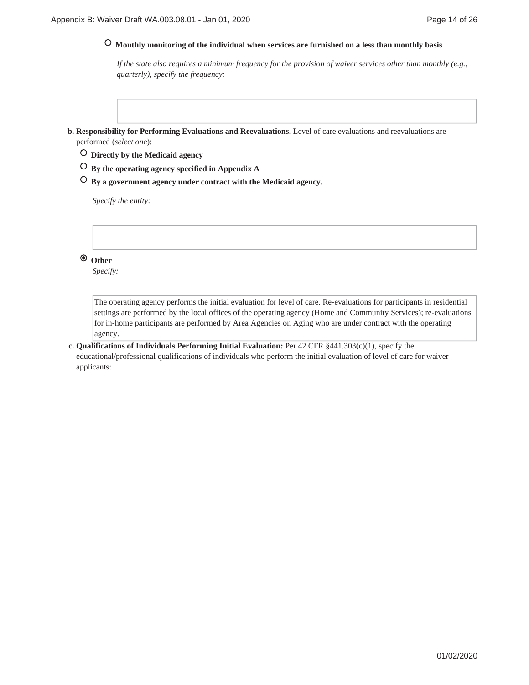# **Monthly monitoring of the individual when services are furnished on a less than monthly basis**

*If the state also requires a minimum frequency for the provision of waiver services other than monthly (e.g., quarterly), specify the frequency:*

- **Responsibility for Performing Evaluations and Reevaluations.** Level of care evaluations and reevaluations are **b.** performed (*select one*):
	- **Directly by the Medicaid agency**
	- **By the operating agency specified in Appendix A**
	- **By a government agency under contract with the Medicaid agency.**

*Specify the entity:*

 **Other**

*Specify:*

The operating agency performs the initial evaluation for level of care. Re-evaluations for participants in residential settings are performed by the local offices of the operating agency (Home and Community Services); re-evaluations for in-home participants are performed by Area Agencies on Aging who are under contract with the operating agency.

**Qualifications of Individuals Performing Initial Evaluation:** Per 42 CFR §441.303(c)(1), specify the **c.** educational/professional qualifications of individuals who perform the initial evaluation of level of care for waiver applicants: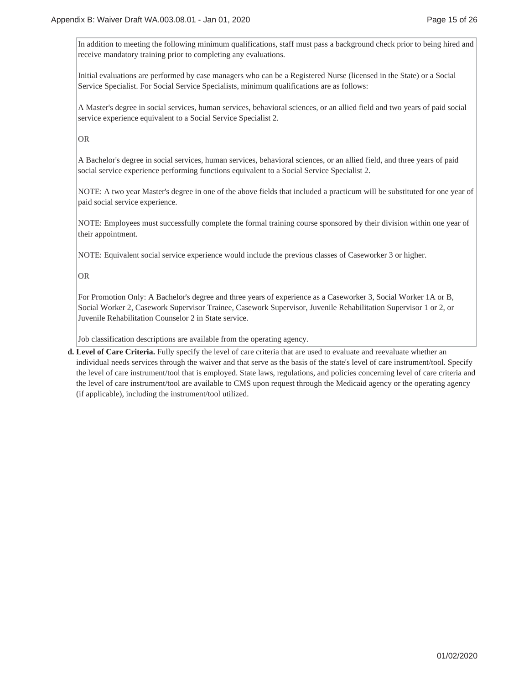In addition to meeting the following minimum qualifications, staff must pass a background check prior to being hired and receive mandatory training prior to completing any evaluations.

Initial evaluations are performed by case managers who can be a Registered Nurse (licensed in the State) or a Social Service Specialist. For Social Service Specialists, minimum qualifications are as follows:

A Master's degree in social services, human services, behavioral sciences, or an allied field and two years of paid social service experience equivalent to a Social Service Specialist 2.

OR

A Bachelor's degree in social services, human services, behavioral sciences, or an allied field, and three years of paid social service experience performing functions equivalent to a Social Service Specialist 2.

NOTE: A two year Master's degree in one of the above fields that included a practicum will be substituted for one year of paid social service experience.

NOTE: Employees must successfully complete the formal training course sponsored by their division within one year of their appointment.

NOTE: Equivalent social service experience would include the previous classes of Caseworker 3 or higher.

OR

For Promotion Only: A Bachelor's degree and three years of experience as a Caseworker 3, Social Worker 1A or B, Social Worker 2, Casework Supervisor Trainee, Casework Supervisor, Juvenile Rehabilitation Supervisor 1 or 2, or Juvenile Rehabilitation Counselor 2 in State service.

Job classification descriptions are available from the operating agency.

**Level of Care Criteria.** Fully specify the level of care criteria that are used to evaluate and reevaluate whether an **d.** individual needs services through the waiver and that serve as the basis of the state's level of care instrument/tool. Specify the level of care instrument/tool that is employed. State laws, regulations, and policies concerning level of care criteria and the level of care instrument/tool are available to CMS upon request through the Medicaid agency or the operating agency (if applicable), including the instrument/tool utilized.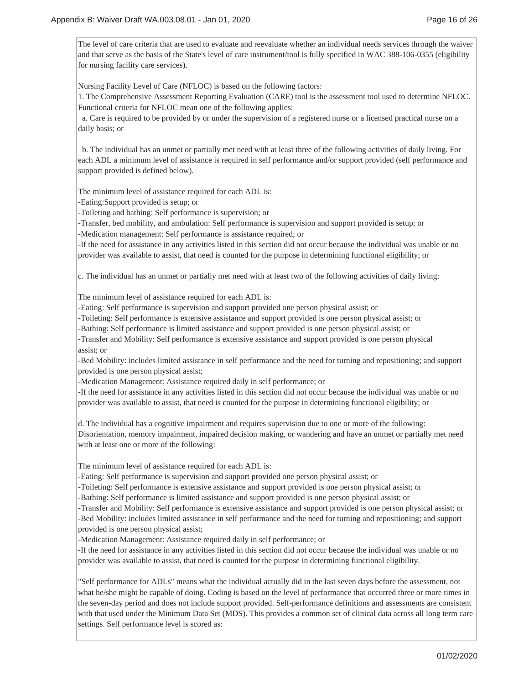The level of care criteria that are used to evaluate and reevaluate whether an individual needs services through the waiver and that serve as the basis of the State's level of care instrument/tool is fully specified in WAC 388-106-0355 (eligibility for nursing facility care services).

Nursing Facility Level of Care (NFLOC) is based on the following factors:

1. The Comprehensive Assessment Reporting Evaluation (CARE) tool is the assessment tool used to determine NFLOC. Functional criteria for NFLOC mean one of the following applies:

 a. Care is required to be provided by or under the supervision of a registered nurse or a licensed practical nurse on a daily basis; or

 b. The individual has an unmet or partially met need with at least three of the following activities of daily living. For each ADL a minimum level of assistance is required in self performance and/or support provided (self performance and support provided is defined below).

The minimum level of assistance required for each ADL is:

-Eating:Support provided is setup; or

-Toileting and bathing: Self performance is supervision; or

-Transfer, bed mobility, and ambulation: Self performance is supervision and support provided is setup; or

-Medication management: Self performance is assistance required; or

-If the need for assistance in any activities listed in this section did not occur because the individual was unable or no provider was available to assist, that need is counted for the purpose in determining functional eligibility; or

c. The individual has an unmet or partially met need with at least two of the following activities of daily living:

The minimum level of assistance required for each ADL is:

-Eating: Self performance is supervision and support provided one person physical assist; or

-Toileting: Self performance is extensive assistance and support provided is one person physical assist; or

-Bathing: Self performance is limited assistance and support provided is one person physical assist; or

-Transfer and Mobility: Self performance is extensive assistance and support provided is one person physical assist; or

-Bed Mobility: includes limited assistance in self performance and the need for turning and repositioning; and support provided is one person physical assist;

-Medication Management: Assistance required daily in self performance; or

-If the need for assistance in any activities listed in this section did not occur because the individual was unable or no provider was available to assist, that need is counted for the purpose in determining functional eligibility; or

d. The individual has a cognitive impairment and requires supervision due to one or more of the following: Disorientation, memory impairment, impaired decision making, or wandering and have an unmet or partially met need with at least one or more of the following:

The minimum level of assistance required for each ADL is:

-Eating: Self performance is supervision and support provided one person physical assist; or

-Toileting: Self performance is extensive assistance and support provided is one person physical assist; or

-Bathing: Self performance is limited assistance and support provided is one person physical assist; or

-Transfer and Mobility: Self performance is extensive assistance and support provided is one person physical assist; or -Bed Mobility: includes limited assistance in self performance and the need for turning and repositioning; and support provided is one person physical assist;

-Medication Management: Assistance required daily in self performance; or

-If the need for assistance in any activities listed in this section did not occur because the individual was unable or no provider was available to assist, that need is counted for the purpose in determining functional eligibility.

"Self performance for ADLs" means what the individual actually did in the last seven days before the assessment, not what he/she might be capable of doing. Coding is based on the level of performance that occurred three or more times in the seven-day period and does not include support provided. Self-performance definitions and assessments are consistent with that used under the Minimum Data Set (MDS). This provides a common set of clinical data across all long term care settings. Self performance level is scored as: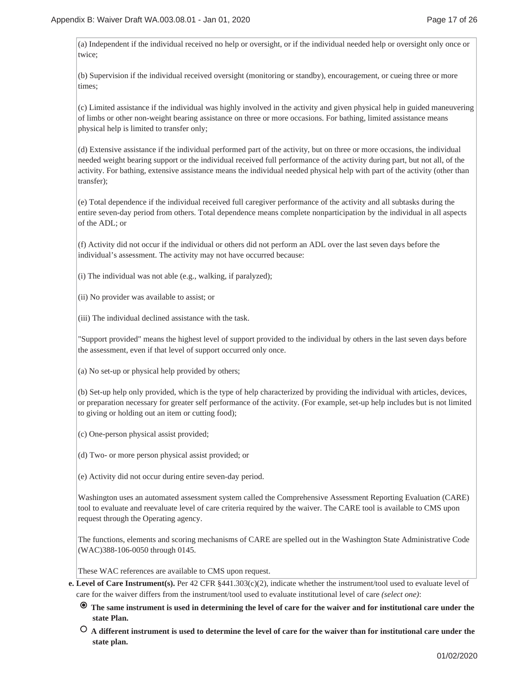(a) Independent if the individual received no help or oversight, or if the individual needed help or oversight only once or twice;

(b) Supervision if the individual received oversight (monitoring or standby), encouragement, or cueing three or more times;

(c) Limited assistance if the individual was highly involved in the activity and given physical help in guided maneuvering of limbs or other non-weight bearing assistance on three or more occasions. For bathing, limited assistance means physical help is limited to transfer only;

(d) Extensive assistance if the individual performed part of the activity, but on three or more occasions, the individual needed weight bearing support or the individual received full performance of the activity during part, but not all, of the activity. For bathing, extensive assistance means the individual needed physical help with part of the activity (other than transfer);

(e) Total dependence if the individual received full caregiver performance of the activity and all subtasks during the entire seven-day period from others. Total dependence means complete nonparticipation by the individual in all aspects of the ADL; or

(f) Activity did not occur if the individual or others did not perform an ADL over the last seven days before the individual's assessment. The activity may not have occurred because:

- (i) The individual was not able (e.g., walking, if paralyzed);
- (ii) No provider was available to assist; or

(iii) The individual declined assistance with the task.

"Support provided" means the highest level of support provided to the individual by others in the last seven days before the assessment, even if that level of support occurred only once.

(a) No set-up or physical help provided by others;

(b) Set-up help only provided, which is the type of help characterized by providing the individual with articles, devices, or preparation necessary for greater self performance of the activity. (For example, set-up help includes but is not limited to giving or holding out an item or cutting food);

(c) One-person physical assist provided;

- (d) Two- or more person physical assist provided; or
- (e) Activity did not occur during entire seven-day period.

Washington uses an automated assessment system called the Comprehensive Assessment Reporting Evaluation (CARE) tool to evaluate and reevaluate level of care criteria required by the waiver. The CARE tool is available to CMS upon request through the Operating agency.

The functions, elements and scoring mechanisms of CARE are spelled out in the Washington State Administrative Code (WAC)388-106-0050 through 0145.

These WAC references are available to CMS upon request.

- **Level of Care Instrument(s).** Per 42 CFR §441.303(c)(2), indicate whether the instrument/tool used to evaluate level of **e.** care for the waiver differs from the instrument/tool used to evaluate institutional level of care *(select one)*:
	- **The same instrument is used in determining the level of care for the waiver and for institutional care under the state Plan.**
	- **A different instrument is used to determine the level of care for the waiver than for institutional care under the state plan.**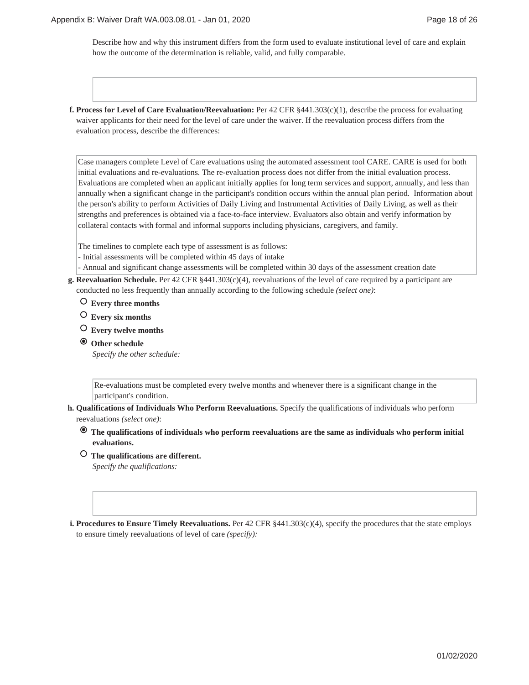Describe how and why this instrument differs from the form used to evaluate institutional level of care and explain how the outcome of the determination is reliable, valid, and fully comparable.

**f. Process for Level of Care Evaluation/Reevaluation:** Per 42 CFR §441.303(c)(1), describe the process for evaluating waiver applicants for their need for the level of care under the waiver. If the reevaluation process differs from the evaluation process, describe the differences:

Case managers complete Level of Care evaluations using the automated assessment tool CARE. CARE is used for both initial evaluations and re-evaluations. The re-evaluation process does not differ from the initial evaluation process. Evaluations are completed when an applicant initially applies for long term services and support, annually, and less than annually when a significant change in the participant's condition occurs within the annual plan period. Information about the person's ability to perform Activities of Daily Living and Instrumental Activities of Daily Living, as well as their strengths and preferences is obtained via a face-to-face interview. Evaluators also obtain and verify information by collateral contacts with formal and informal supports including physicians, caregivers, and family.

The timelines to complete each type of assessment is as follows:

- Initial assessments will be completed within 45 days of intake
- Annual and significant change assessments will be completed within 30 days of the assessment creation date
- **Reevaluation Schedule.** Per 42 CFR §441.303(c)(4), reevaluations of the level of care required by a participant are **g.** conducted no less frequently than annually according to the following schedule *(select one)*:
	- **Every three months**
	- **Every six months**
	- **Every twelve months**
	- **Other schedule** *Specify the other schedule:*

Re-evaluations must be completed every twelve months and whenever there is a significant change in the participant's condition.

- **Qualifications of Individuals Who Perform Reevaluations.** Specify the qualifications of individuals who perform **h.** reevaluations *(select one)*:
	- **The qualifications of individuals who perform reevaluations are the same as individuals who perform initial evaluations.**
	- **The qualifications are different.**

*Specify the qualifications:*

**i. Procedures to Ensure Timely Reevaluations.** Per 42 CFR §441.303(c)(4), specify the procedures that the state employs to ensure timely reevaluations of level of care *(specify):*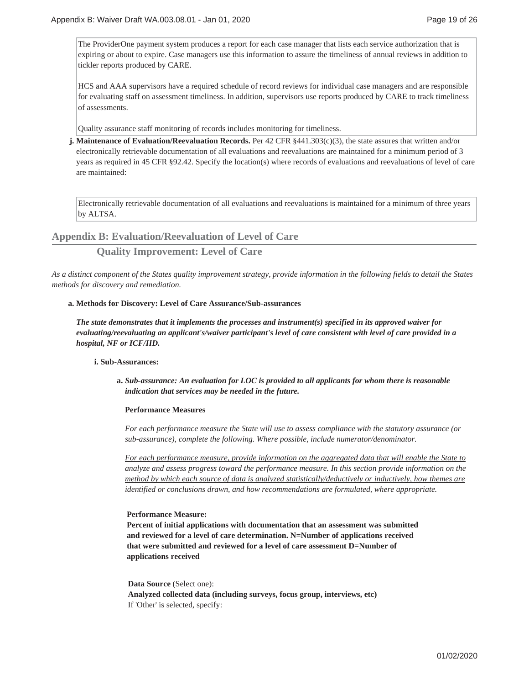The ProviderOne payment system produces a report for each case manager that lists each service authorization that is expiring or about to expire. Case managers use this information to assure the timeliness of annual reviews in addition to tickler reports produced by CARE.

HCS and AAA supervisors have a required schedule of record reviews for individual case managers and are responsible for evaluating staff on assessment timeliness. In addition, supervisors use reports produced by CARE to track timeliness of assessments.

Quality assurance staff monitoring of records includes monitoring for timeliness.

**j. Maintenance of Evaluation/Reevaluation Records.** Per 42 CFR §441.303(c)(3), the state assures that written and/or electronically retrievable documentation of all evaluations and reevaluations are maintained for a minimum period of 3 years as required in 45 CFR §92.42. Specify the location(s) where records of evaluations and reevaluations of level of care are maintained:

Electronically retrievable documentation of all evaluations and reevaluations is maintained for a minimum of three years by ALTSA.

## **Appendix B: Evaluation/Reevaluation of Level of Care**

## **Quality Improvement: Level of Care**

*As a distinct component of the States quality improvement strategy, provide information in the following fields to detail the States methods for discovery and remediation.*

#### **Methods for Discovery: Level of Care Assurance/Sub-assurances a.**

*The state demonstrates that it implements the processes and instrument(s) specified in its approved waiver for evaluating/reevaluating an applicant's/waiver participant's level of care consistent with level of care provided in a hospital, NF or ICF/IID.*

### **Sub-Assurances: i.**

*Sub-assurance: An evaluation for LOC is provided to all applicants for whom there is reasonable* **a.** *indication that services may be needed in the future.*

### **Performance Measures**

*For each performance measure the State will use to assess compliance with the statutory assurance (or sub-assurance), complete the following. Where possible, include numerator/denominator.*

*For each performance measure, provide information on the aggregated data that will enable the State to analyze and assess progress toward the performance measure. In this section provide information on the method by which each source of data is analyzed statistically/deductively or inductively, how themes are identified or conclusions drawn, and how recommendations are formulated, where appropriate.*

### **Performance Measure:**

**Percent of initial applications with documentation that an assessment was submitted and reviewed for a level of care determination. N=Number of applications received that were submitted and reviewed for a level of care assessment D=Number of applications received**

#### **Data Source** (Select one):

**Analyzed collected data (including surveys, focus group, interviews, etc)** If 'Other' is selected, specify: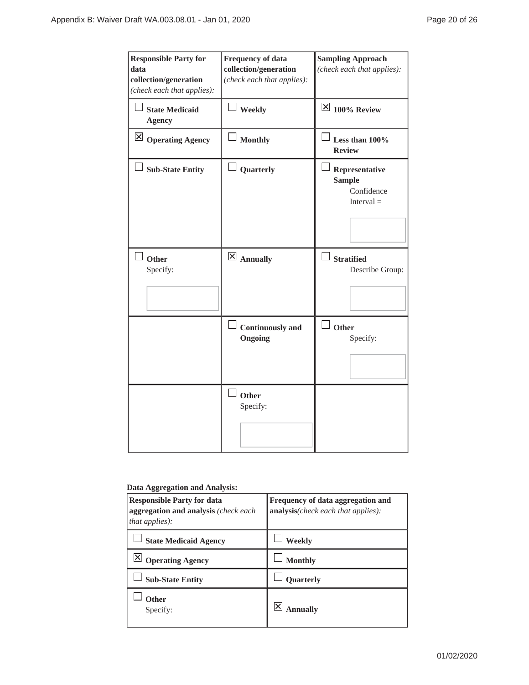| <b>Responsible Party for</b><br>data<br>collection/generation<br>(check each that applies): | <b>Frequency of data</b><br>collection/generation<br>(check each that applies): | <b>Sampling Approach</b><br>(check each that applies):        |
|---------------------------------------------------------------------------------------------|---------------------------------------------------------------------------------|---------------------------------------------------------------|
| $\Box$ State Medicaid<br><b>Agency</b>                                                      | $\perp$ Weekly                                                                  | $\overline{\times}$ 100% Review                               |
| $\boxed{\times}$ Operating Agency                                                           | Monthly                                                                         | Less than 100%<br><b>Review</b>                               |
| $\Box$ Sub-State Entity                                                                     | Quarterly                                                                       | Representative<br><b>Sample</b><br>Confidence<br>$Interval =$ |
| Other<br>Specify:                                                                           | $\boxtimes$ Annually                                                            | <b>Stratified</b><br>Describe Group:                          |
|                                                                                             | $\Box$ Continuously and<br>Ongoing                                              | $\Box$ Other<br>Specify:                                      |
|                                                                                             | Other<br>Specify:                                                               |                                                               |

## **Data Aggregation and Analysis:**

| <b>Responsible Party for data</b><br>aggregation and analysis (check each<br><i>that applies</i> ): | Frequency of data aggregation and<br>analysis(check each that applies): |
|-----------------------------------------------------------------------------------------------------|-------------------------------------------------------------------------|
| <b>State Medicaid Agency</b>                                                                        | Weekly                                                                  |
| <b>Operating Agency</b>                                                                             | <b>Monthly</b>                                                          |
| <b>Sub-State Entity</b>                                                                             | <b>Ouarterly</b>                                                        |
| Other<br>Specify:                                                                                   | nnually                                                                 |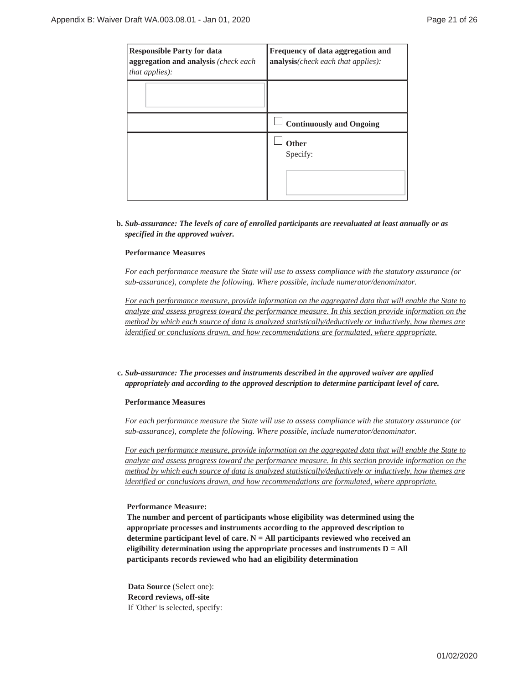| <b>Responsible Party for data</b><br>aggregation and analysis (check each<br><i>that applies</i> ): | Frequency of data aggregation and<br><b>analysis</b> ( <i>check each that applies</i> ): |
|-----------------------------------------------------------------------------------------------------|------------------------------------------------------------------------------------------|
|                                                                                                     |                                                                                          |
|                                                                                                     | <b>Continuously and Ongoing</b>                                                          |
|                                                                                                     | <b>Other</b><br>Specify:                                                                 |

## *Sub-assurance: The levels of care of enrolled participants are reevaluated at least annually or as* **b.** *specified in the approved waiver.*

## **Performance Measures**

*For each performance measure the State will use to assess compliance with the statutory assurance (or sub-assurance), complete the following. Where possible, include numerator/denominator.*

*For each performance measure, provide information on the aggregated data that will enable the State to analyze and assess progress toward the performance measure. In this section provide information on the method by which each source of data is analyzed statistically/deductively or inductively, how themes are identified or conclusions drawn, and how recommendations are formulated, where appropriate.*

## *Sub-assurance: The processes and instruments described in the approved waiver are applied* **c.** *appropriately and according to the approved description to determine participant level of care.*

### **Performance Measures**

*For each performance measure the State will use to assess compliance with the statutory assurance (or sub-assurance), complete the following. Where possible, include numerator/denominator.*

*For each performance measure, provide information on the aggregated data that will enable the State to analyze and assess progress toward the performance measure. In this section provide information on the method by which each source of data is analyzed statistically/deductively or inductively, how themes are identified or conclusions drawn, and how recommendations are formulated, where appropriate.*

### **Performance Measure:**

**The number and percent of participants whose eligibility was determined using the appropriate processes and instruments according to the approved description to determine participant level of care. N = All participants reviewed who received an eligibility determination using the appropriate processes and instruments D = All participants records reviewed who had an eligibility determination**

**Data Source** (Select one): **Record reviews, off-site** If 'Other' is selected, specify: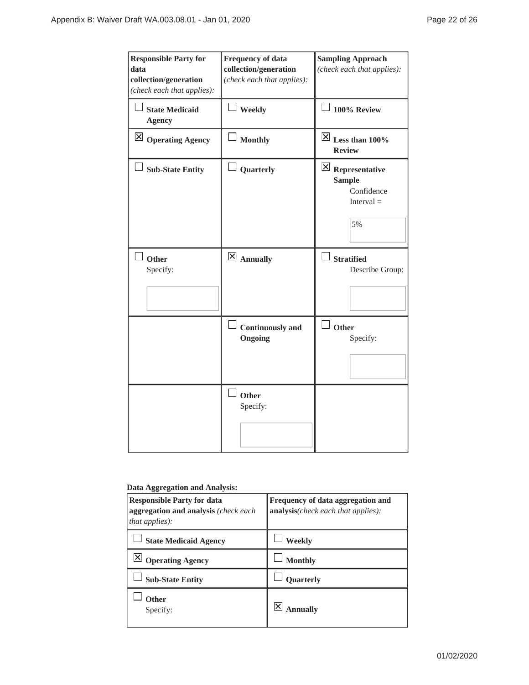| <b>Responsible Party for</b><br>data<br>collection/generation<br>(check each that applies): | <b>Frequency of data</b><br>collection/generation<br>(check each that applies): | <b>Sampling Approach</b><br>(check each that applies):                                      |
|---------------------------------------------------------------------------------------------|---------------------------------------------------------------------------------|---------------------------------------------------------------------------------------------|
| <b>State Medicaid</b><br><b>Agency</b>                                                      | Weekly                                                                          | 100% Review                                                                                 |
| $\vert$ $\times$   Operating Agency                                                         | <b>Monthly</b>                                                                  | $\overline{\boxtimes}$ Less than 100%<br><b>Review</b>                                      |
| $\Box$ Sub-State Entity                                                                     | Quarterly                                                                       | $\overline{\mathbf{X}}$ Representative<br><b>Sample</b><br>Confidence<br>$Interval =$<br>5% |
| $\perp$ Other<br>Specify:                                                                   | $\overline{\boxtimes}$ Annually                                                 | <b>Stratified</b><br>Describe Group:                                                        |
|                                                                                             | <b>Continuously</b> and<br>Ongoing                                              | Other<br>Specify:                                                                           |
|                                                                                             | Other<br>Specify:                                                               |                                                                                             |

## **Data Aggregation and Analysis:**

| <b>Responsible Party for data</b><br>aggregation and analysis (check each)<br>that applies): | Frequency of data aggregation and<br>analysis(check each that applies): |
|----------------------------------------------------------------------------------------------|-------------------------------------------------------------------------|
| <b>State Medicaid Agency</b>                                                                 | Weekly                                                                  |
| <b>Operating Agency</b>                                                                      | <b>Monthly</b>                                                          |
| <b>Sub-State Entity</b>                                                                      | <b>Ouarterly</b>                                                        |
| Other<br>Specify:                                                                            | nnuallv                                                                 |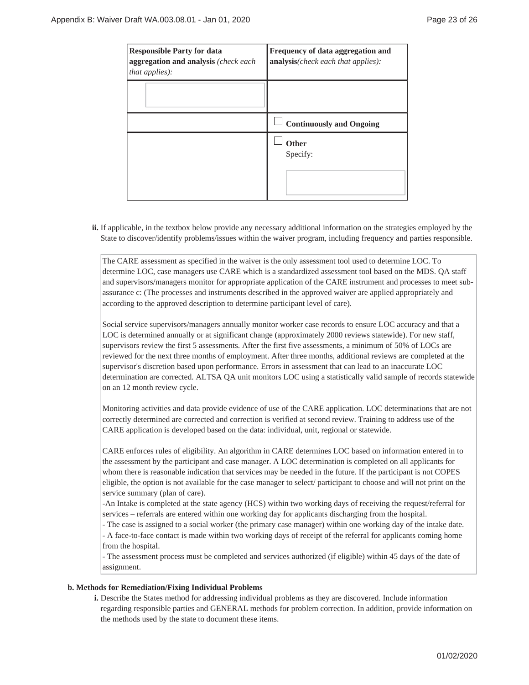| <b>Responsible Party for data</b><br>aggregation and analysis (check each<br>that applies): | Frequency of data aggregation and<br>analysis(check each that applies): |
|---------------------------------------------------------------------------------------------|-------------------------------------------------------------------------|
|                                                                                             |                                                                         |
|                                                                                             | <b>Continuously and Ongoing</b>                                         |
|                                                                                             | <b>Other</b><br>Specify:                                                |

ii. If applicable, in the textbox below provide any necessary additional information on the strategies employed by the State to discover/identify problems/issues within the waiver program, including frequency and parties responsible.

The CARE assessment as specified in the waiver is the only assessment tool used to determine LOC. To determine LOC, case managers use CARE which is a standardized assessment tool based on the MDS. QA staff and supervisors/managers monitor for appropriate application of the CARE instrument and processes to meet subassurance c: (The processes and instruments described in the approved waiver are applied appropriately and according to the approved description to determine participant level of care).

Social service supervisors/managers annually monitor worker case records to ensure LOC accuracy and that a LOC is determined annually or at significant change (approximately 2000 reviews statewide). For new staff, supervisors review the first 5 assessments. After the first five assessments, a minimum of 50% of LOCs are reviewed for the next three months of employment. After three months, additional reviews are completed at the supervisor's discretion based upon performance. Errors in assessment that can lead to an inaccurate LOC determination are corrected. ALTSA QA unit monitors LOC using a statistically valid sample of records statewide on an 12 month review cycle.

Monitoring activities and data provide evidence of use of the CARE application. LOC determinations that are not correctly determined are corrected and correction is verified at second review. Training to address use of the CARE application is developed based on the data: individual, unit, regional or statewide.

CARE enforces rules of eligibility. An algorithm in CARE determines LOC based on information entered in to the assessment by the participant and case manager. A LOC determination is completed on all applicants for whom there is reasonable indication that services may be needed in the future. If the participant is not COPES eligible, the option is not available for the case manager to select/ participant to choose and will not print on the service summary (plan of care).

-An Intake is completed at the state agency (HCS) within two working days of receiving the request/referral for services – referrals are entered within one working day for applicants discharging from the hospital.

- The case is assigned to a social worker (the primary case manager) within one working day of the intake date. - A face-to-face contact is made within two working days of receipt of the referral for applicants coming home from the hospital.

- The assessment process must be completed and services authorized (if eligible) within 45 days of the date of assignment.

## **Methods for Remediation/Fixing Individual Problems b.**

Describe the States method for addressing individual problems as they are discovered. Include information **i.** regarding responsible parties and GENERAL methods for problem correction. In addition, provide information on the methods used by the state to document these items.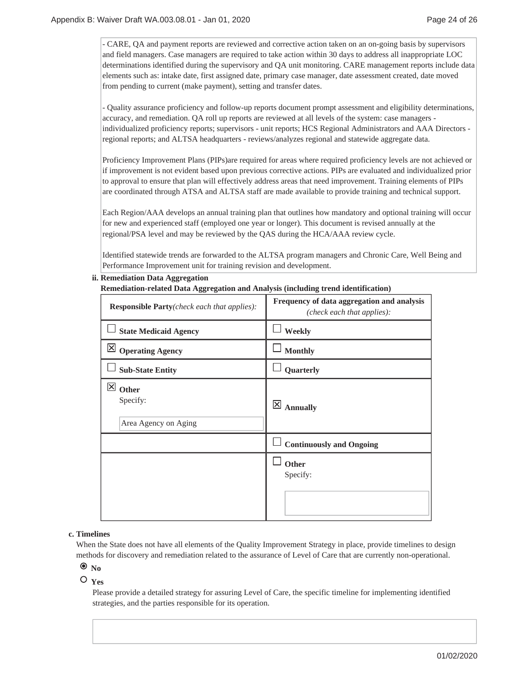- CARE, QA and payment reports are reviewed and corrective action taken on an on-going basis by supervisors and field managers. Case managers are required to take action within 30 days to address all inappropriate LOC determinations identified during the supervisory and QA unit monitoring. CARE management reports include data elements such as: intake date, first assigned date, primary case manager, date assessment created, date moved from pending to current (make payment), setting and transfer dates.

- Quality assurance proficiency and follow-up reports document prompt assessment and eligibility determinations, accuracy, and remediation. QA roll up reports are reviewed at all levels of the system: case managers individualized proficiency reports; supervisors - unit reports; HCS Regional Administrators and AAA Directors regional reports; and ALTSA headquarters - reviews/analyzes regional and statewide aggregate data.

Proficiency Improvement Plans (PIPs)are required for areas where required proficiency levels are not achieved or if improvement is not evident based upon previous corrective actions. PIPs are evaluated and individualized prior to approval to ensure that plan will effectively address areas that need improvement. Training elements of PIPs are coordinated through ATSA and ALTSA staff are made available to provide training and technical support.

Each Region/AAA develops an annual training plan that outlines how mandatory and optional training will occur for new and experienced staff (employed one year or longer). This document is revised annually at the regional/PSA level and may be reviewed by the QAS during the HCA/AAA review cycle.

Identified statewide trends are forwarded to the ALTSA program managers and Chronic Care, Well Being and Performance Improvement unit for training revision and development.

## **Remediation Data Aggregation ii.**

## **Remediation-related Data Aggregation and Analysis (including trend identification)**

| <b>Responsible Party</b> (check each that applies):                         | Frequency of data aggregation and analysis<br>(check each that applies): |
|-----------------------------------------------------------------------------|--------------------------------------------------------------------------|
| <b>State Medicaid Agency</b>                                                | Weekly                                                                   |
| $\boxtimes$ Operating Agency                                                | <b>Monthly</b>                                                           |
| <b>Sub-State Entity</b>                                                     | Quarterly                                                                |
| $\overline{\mathsf{x}}$<br><b>Other</b><br>Specify:<br>Area Agency on Aging | $\mathsf{ \mathsf{x} }$<br><b>Annually</b>                               |
|                                                                             | <b>Continuously and Ongoing</b>                                          |
|                                                                             | Other<br>Specify:                                                        |

### **Timelines c.**

When the State does not have all elements of the Quality Improvement Strategy in place, provide timelines to design methods for discovery and remediation related to the assurance of Level of Care that are currently non-operational.

# $\odot$  No

## **Yes**

Please provide a detailed strategy for assuring Level of Care, the specific timeline for implementing identified strategies, and the parties responsible for its operation.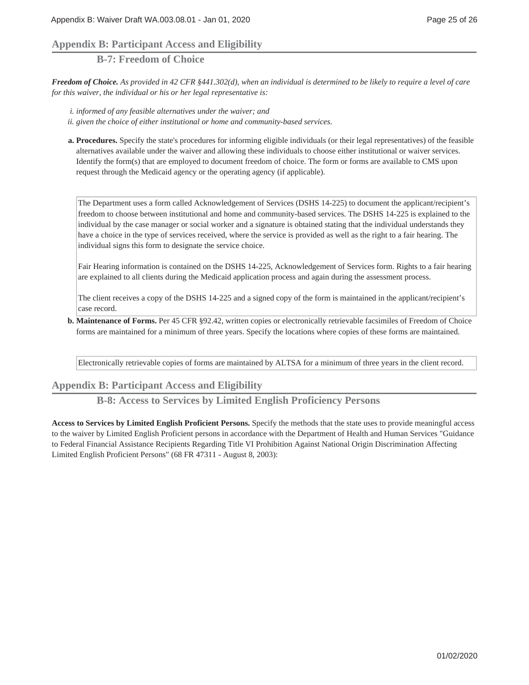# **Appendix B: Participant Access and Eligibility**

**B-7: Freedom of Choice**

*Freedom of Choice. As provided in 42 CFR §441.302(d), when an individual is determined to be likely to require a level of care for this waiver, the individual or his or her legal representative is:*

*i. informed of any feasible alternatives under the waiver; and*

- *ii. given the choice of either institutional or home and community-based services.*
- **Procedures.** Specify the state's procedures for informing eligible individuals (or their legal representatives) of the feasible **a.** alternatives available under the waiver and allowing these individuals to choose either institutional or waiver services. Identify the form(s) that are employed to document freedom of choice. The form or forms are available to CMS upon request through the Medicaid agency or the operating agency (if applicable).

The Department uses a form called Acknowledgement of Services (DSHS 14-225) to document the applicant/recipient's freedom to choose between institutional and home and community-based services. The DSHS 14-225 is explained to the individual by the case manager or social worker and a signature is obtained stating that the individual understands they have a choice in the type of services received, where the service is provided as well as the right to a fair hearing. The individual signs this form to designate the service choice.

Fair Hearing information is contained on the DSHS 14-225, Acknowledgement of Services form. Rights to a fair hearing are explained to all clients during the Medicaid application process and again during the assessment process.

The client receives a copy of the DSHS 14-225 and a signed copy of the form is maintained in the applicant/recipient's case record.

**Maintenance of Forms.** Per 45 CFR §92.42, written copies or electronically retrievable facsimiles of Freedom of Choice **b.** forms are maintained for a minimum of three years. Specify the locations where copies of these forms are maintained.

Electronically retrievable copies of forms are maintained by ALTSA for a minimum of three years in the client record.

# **Appendix B: Participant Access and Eligibility**

**B-8: Access to Services by Limited English Proficiency Persons**

**Access to Services by Limited English Proficient Persons.** Specify the methods that the state uses to provide meaningful access to the waiver by Limited English Proficient persons in accordance with the Department of Health and Human Services "Guidance to Federal Financial Assistance Recipients Regarding Title VI Prohibition Against National Origin Discrimination Affecting Limited English Proficient Persons" (68 FR 47311 - August 8, 2003):